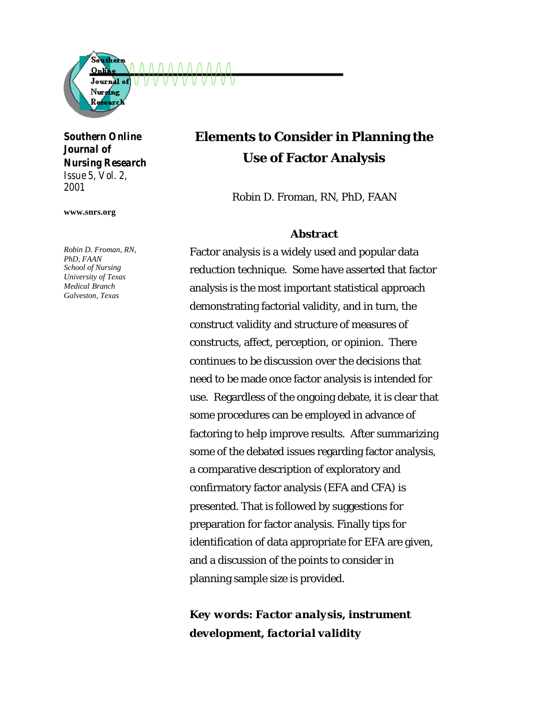

#### *Southern Online Journal of Nursing Research Issue 5, Vol. 2,*

*2001*

**www.snrs.org**

*Robin D. Froman, RN, PhD, FAAN School of Nursing University of Texas Medical Branch Galveston, Texas*

# **Elements to Consider in Planning the Use of Factor Analysis**

Robin D. Froman, RN, PhD, FAAN

#### **Abstract**

Factor analysis is a widely used and popular data reduction technique. Some have asserted that factor analysis is the most important statistical approach demonstrating factorial validity, and in turn, the construct validity and structure of measures of constructs, affect, perception, or opinion. There continues to be discussion over the decisions that need to be made once factor analysis is intended for use. Regardless of the ongoing debate, it is clear that some procedures can be employed in advance of factoring to help improve results. After summarizing some of the debated issues regarding factor analysis, a comparative description of exploratory and confirmatory factor analysis (EFA and CFA) is presented. That is followed by suggestions for preparation for factor analysis. Finally tips for identification of data appropriate for EFA are given, and a discussion of the points to consider in planning sample size is provided.

## *Key words: Factor analysis, instrument development, factorial validity*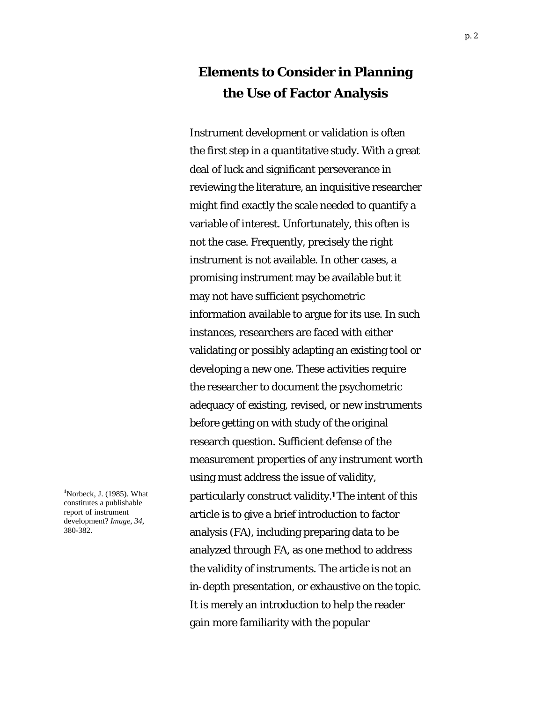## **Elements to Consider in Planning the Use of Factor Analysis**

Instrument development or validation is often the first step in a quantitative study. With a great deal of luck and significant perseverance in reviewing the literature, an inquisitive researcher might find exactly the scale needed to quantify a variable of interest. Unfortunately, this often is not the case. Frequently, precisely the right instrument is not available. In other cases, a promising instrument may be available but it may not have sufficient psychometric information available to argue for its use. In such instances, researchers are faced with either validating or possibly adapting an existing tool or developing a new one. These activities require the researcher to document the psychometric adequacy of existing, revised, or new instruments before getting on with study of the original research question. Sufficient defense of the measurement properties of any instrument worth using must address the issue of validity, particularly construct validity.**1** The intent of this article is to give a brief introduction to factor analysis (FA), including preparing data to be analyzed through FA, as one method to address the validity of instruments. The article is not an in-depth presentation, or exhaustive on the topic. It is merely an introduction to help the reader gain more familiarity with the popular

**<sup>1</sup>**Norbeck, J. (1985). What constitutes a publishable report of instrument development? *Image, 34*, 380-382.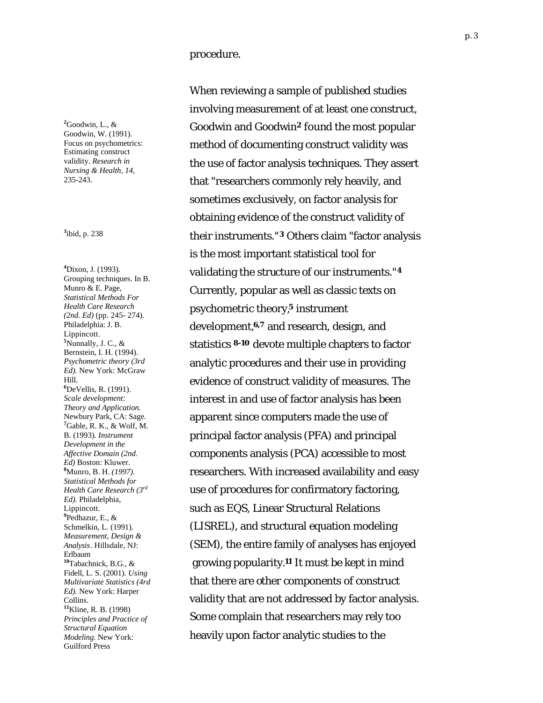**2** Goodwin, L., & Goodwin, W. (1991). Focus on psychometrics: Estimating construct validity. *Research in Nursing & Health, 14*, 235 -243.

<sup>3</sup>ibid, p. 238

**4** Dixon, J. (1993). Grouping techniques. In B. Munro & E. Page, *Statistical Methods For Health Care Research (2nd. Ed)* (pp. 245 - 274). Philadelphia: J. B. Lippincott. **5** Nunnally, J. C., & Bernstein, I. H. (1994). *Psychometric theory (3rd Ed).* New York: McGraw Hill. **6** DeVellis, R. (1991). *Scale development: Theory and Application.*  Newbury Park, CA: Sage. **7** Gable, R. K., & Wolf, M. B. (1993). *Instrument Development in the Affective Domain (2nd. Ed)* Boston: Kluwer. **8** Munro, B. H. *(1997). Statistical Methods for Health Care Research (3rd Ed).* Philadelphia, Lippincott. **9** Pedhazur, E., & Schmelkin, L. (1991). *Measurement, Design & Analysis*. Hillsdale, NJ: Erlbaum **<sup>10</sup>**Tabachnick, B.G., & Fidell, L. S. (2001). *Using Multivariate Statistics (4rd Ed).* New York: Harper Collins. **<sup>11</sup>**Kline, R. B. (1998) *Principles and Practice of Structural Equation Modeling.* New York: Guilford Press

procedure.

When reviewing a sample of published studies involving measurement of at least one construct, Goodwin and Goodwin **<sup>2</sup>** found the most popular method of documenting construct validity was the use of factor analysis techniques. They assert that "researchers commonly rely heavily, and sometimes exclusively, on factor analysis for obtaining evidence of the construct validity of ibid, p. 238 their instruments."**3** Others claim "factor analysis is the most important statistical tool for validating the structure of our instruments." **4** Currently, popular as well as classic texts on psychometric theory, **<sup>5</sup>** instrument development,**6,7** and research, design, and statistics **8 -10** devote multiple chapters to factor analytic procedures and their use in providing evidence of construct validity of measures. The interest in and use of factor analysis has been apparent since computers made the use of principal factor analysis (PFA) and principal components analysis (PCA) accessible to most researchers. With increased availability and easy use of procedures for confirmatory factoring, such as EQS, Linear Structural Relations (LISREL), and structural equation modeling (SEM), the entire family of analyses has enjoyed growing popularity.**11** It must be kept in mind that there are other components of construct validity that are not addressed by factor analysis. Some complain that researchers may rely too heavily upon factor analytic studies to the

p. 3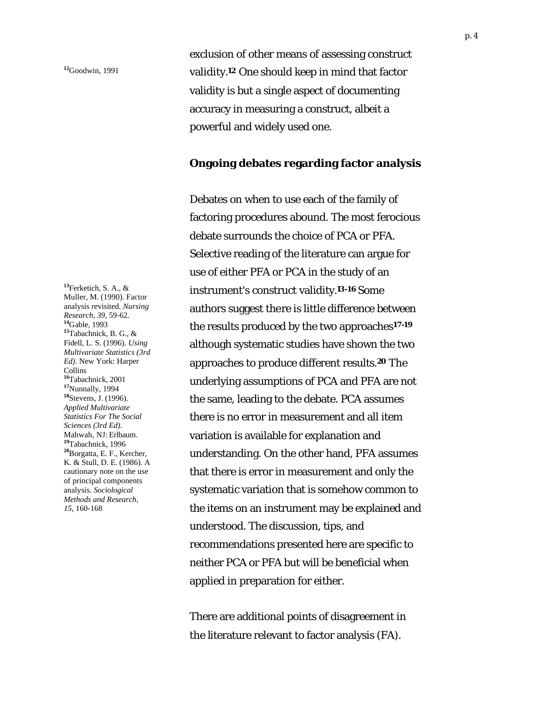**<sup>13</sup>**Ferketich, S. A., & Muller, M. (1990). Factor analysis revisited. *Nursing Research, 39*, 59-62. **<sup>14</sup>**Gable, 1993 **<sup>15</sup>**Tabachnick, B. G., & Fidell, L. S. (1996). *Using Multivariate Statistics (3rd Ed)*. New York: Harper Collins **<sup>16</sup>**Tabachnick, 2001 **<sup>17</sup>**Nunnally, 1994 **<sup>18</sup>**Stevens, J. (1996). *Applied Multivariate Statistics For The Social Sciences (3rd Ed).*  Mahwah, NJ: Erlbaum. **<sup>19</sup>**Tabachnick, 1996 **<sup>20</sup>**Borgatta, E. F., Kercher, K. & Stull, D. E. (1986). A cautionary note on the use of principal components analysis. *Sociological Methods and Research, 15*, 160-168

exclusion of other means of assessing construct validity.**12** One should keep in mind that factor validity is but a single aspect of documenting accuracy in measuring a construct, albeit a powerful and widely used one.

#### **Ongoing debates regarding factor analysis**

Debates on when to use each of the family of factoring procedures abound. The most ferocious debate surrounds the choice of PCA or PFA. Selective reading of the literature can argue for use of either PFA or PCA in the study of an instrument's construct validity.**13-16** Some authors suggest there is little difference between the results produced by the two approaches**17-19** although systematic studies have shown the two approaches to produce different results.**20** The underlying assumptions of PCA and PFA are not the same, leading to the debate. PCA assumes there is no error in measurement and all item variation is available for explanation and understanding. On the other hand, PFA assumes that there is error in measurement and only the systematic variation that is somehow common to the items on an instrument may be explained and understood. The discussion, tips, and recommendations presented here are specific to neither PCA or PFA but will be beneficial when applied in preparation for either.

There are additional points of disagreement in the literature relevant to factor analysis (FA).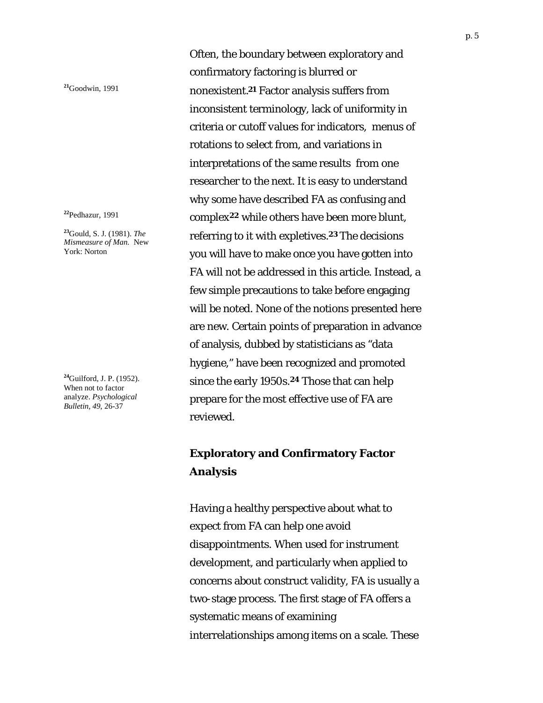**<sup>23</sup>**Gould, S. J. (1981). *The Mismeasure of Man.* New York: Norton

**<sup>24</sup>**Guilford, J. P. (1952). When not to factor analyze. *Psychological Bulletin, 49*, 26-37

Often, the boundary between exploratory and confirmatory factoring is blurred or **<sup>21</sup>**Goodwin, 1991 nonexistent.**21** Factor analysis suffers from inconsistent terminology, lack of uniformity in criteria or cutoff values for indicators, menus of rotations to select from, and variations in interpretations of the same results from one researcher to the next. It is easy to understand why some have described FA as confusing and **<sup>22</sup>**Pedhazur, 1991 complex**22** while others have been more blunt, referring to it with expletives.**23** The decisions you will have to make once you have gotten into FA will not be addressed in this article. Instead, a few simple precautions to take before engaging will be noted. None of the notions presented here are new. Certain points of preparation in advance of analysis, dubbed by statisticians as "data hygiene," have been recognized and promoted since the early 1950s.**24** Those that can help prepare for the most effective use of FA are reviewed.

## **Exploratory and Confirmatory Factor Analysis**

Having a healthy perspective about what to expect from FA can help one avoid disappointments. When used for instrument development, and particularly when applied to concerns about construct validity, FA is usually a two-stage process. The first stage of FA offers a systematic means of examining interrelationships among items on a scale. These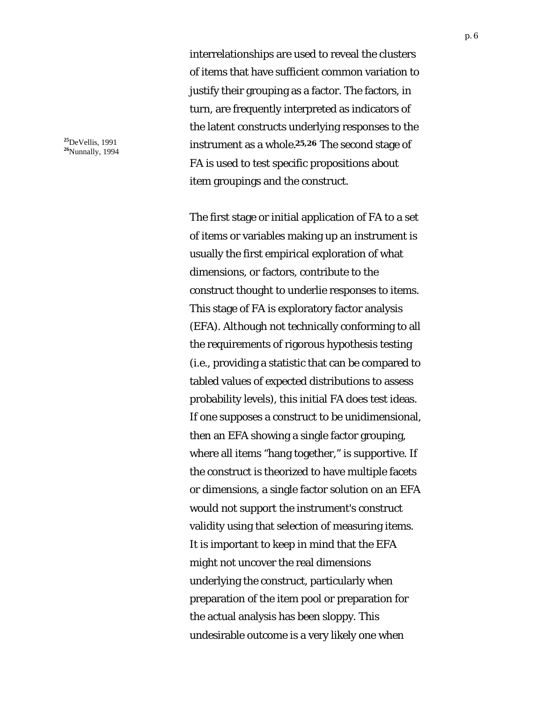interrelationships are used to reveal the clusters of items that have sufficient common variation to justify their grouping as a factor. The factors, in turn, are frequently interpreted as indicators of the latent constructs underlying responses to the instrument as a whole.**25,26** The second stage of FA is used to test specific propositions about item groupings and the construct.

The first stage or initial application of FA to a set of items or variables making up an instrument is usually the first empirical exploration of what dimensions, or factors, contribute to the construct thought to underlie responses to items. This stage of FA is exploratory factor analysis (EFA). Although not technically conforming to all the requirements of rigorous hypothesis testing (i.e., providing a statistic that can be compared to tabled values of expected distributions to assess probability levels), this initial FA does test ideas. If one supposes a construct to be unidimensional, then an EFA showing a single factor grouping, where all items "hang together," is supportive. If the construct is theorized to have multiple facets or dimensions, a single factor solution on an EFA would not support the instrument's construct validity using that selection of measuring items. It is important to keep in mind that the EFA might not uncover the real dimensions underlying the construct, particularly when preparation of the item pool or preparation for the actual analysis has been sloppy. This undesirable outcome is a very likely one when

**<sup>25</sup>**DeVellis, 1991 **<sup>26</sup>**Nunnally, 1994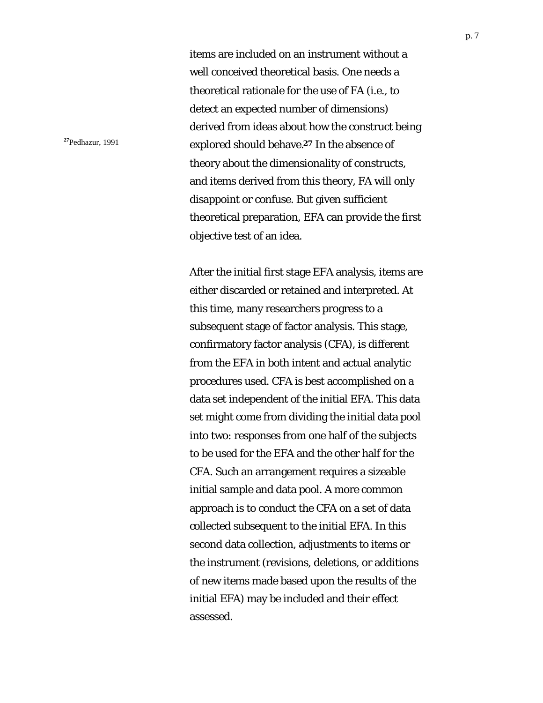items are included on an instrument without a well conceived theoretical basis. One needs a theoretical rationale for the use of FA (i.e., to detect an expected number of dimensions) derived from ideas about how the construct being **<sup>27</sup>**Pedhazur, 1991 explored should behave.**27** In the absence of theory about the dimensionality of constructs, and items derived from this theory, FA will only disappoint or confuse. But given sufficient theoretical preparation, EFA can provide the first objective test of an idea.

> After the initial first stage EFA analysis, items are either discarded or retained and interpreted. At this time, many researchers progress to a subsequent stage of factor analysis. This stage, confirmatory factor analysis (CFA), is different from the EFA in both intent and actual analytic procedures used. CFA is best accomplished on a data set independent of the initial EFA. This data set might come from dividing the initial data pool into two: responses from one half of the subjects to be used for the EFA and the other half for the CFA. Such an arrangement requires a sizeable initial sample and data pool. A more common approach is to conduct the CFA on a set of data collected subsequent to the initial EFA. In this second data collection, adjustments to items or the instrument (revisions, deletions, or additions of new items made based upon the results of the initial EFA) may be included and their effect assessed.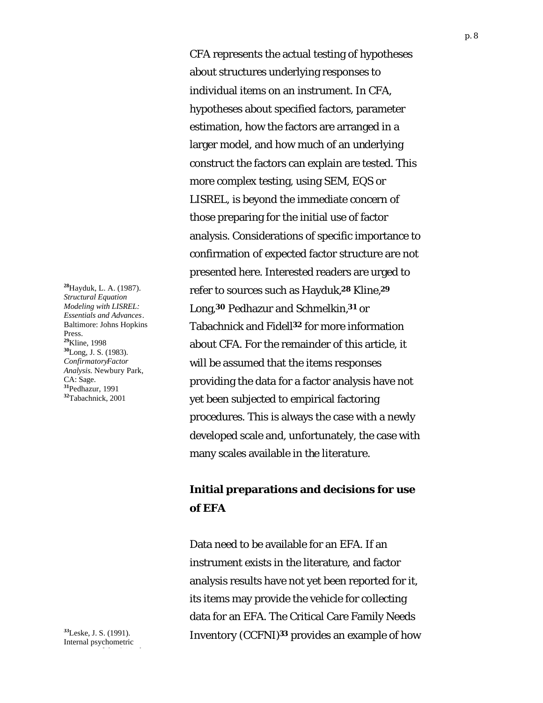**<sup>28</sup>**Hayduk, L. A. (1987). *Structural Equation Modeling with LISREL: Essentials and Advances*. Baltimore: Johns Hopkins Press. **<sup>29</sup>**Kline, 1998 **<sup>30</sup>**Long, J. S. (1983). *ConfirmatoryFactor Analysis.* Newbury Park, CA: Sage. **<sup>31</sup>**Pedhazur, 1991 **<sup>32</sup>**Tabachnick, 2001

**<sup>33</sup>**Leske, J. S. (1991). Internal psychometric

CFA represents the actual testing of hypotheses about structures underlying responses to individual items on an instrument. In CFA, hypotheses about specified factors, parameter estimation, how the factors are arranged in a larger model, and how much of an underlying construct the factors can explain are tested. This more complex testing, using SEM, EQS or LISREL, is beyond the immediate concern of those preparing for the initial use of factor analysis. Considerations of specific importance to confirmation of expected factor structure are not presented here. Interested readers are urged to refer to sources such as Hayduk,**28** Kline,**<sup>29</sup>** Long,**30** Pedhazur and Schmelkin,**31** or Tabachnick and Fidell**32** for more information about CFA. For the remainder of this article, it will be assumed that the items responses providing the data for a factor analysis have not yet been subjected to empirical factoring procedures. This is always the case with a newly developed scale and, unfortunately, the case with many scales available in the literature.

## **Initial preparations and decisions for use of EFA**

Data need to be available for an EFA. If an instrument exists in the literature, and factor analysis results have not yet been reported for it, its items may provide the vehicle for collecting data for an EFA. The Critical Care Family Needs Inventory (CCFNI)**33** provides an example of how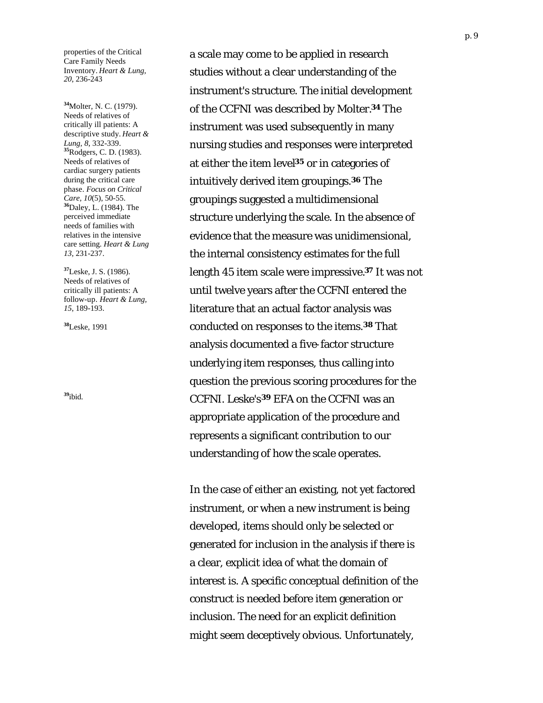properties of the Critical Care Family Needs Inventory. *Heart & Lung, 20*, 236-243

**<sup>34</sup>**Molter, N. C. (1979). Needs of relatives of critically ill patients: A descriptive study. *Heart & Lung, 8*, 332-339. **<sup>35</sup>**Rodgers, C. D. (1983). Needs of relatives of cardiac surgery patients during the critical care phase. *Focus on Critical Care, 10*(5), 50-55. **<sup>36</sup>**Daley, L. (1984). The perceived immediate needs of families with relatives in the intensive care setting. *Heart & Lung 13*, 231-237.

**<sup>37</sup>**Leske, J. S. (1986). Needs of relatives of critically ill patients: A follow-up. *Heart & Lung, 15*, 189-193.

**<sup>38</sup>**Leske, 1991

a scale may come to be applied in research studies without a clear understanding of the instrument's structure. The initial development of the CCFNI was described by Molter.**34** The instrument was used subsequently in many nursing studies and responses were interpreted at either the item level**35** or in categories of intuitively derived item groupings.**36** The groupings suggested a multidimensional structure underlying the scale. In the absence of evidence that the measure was unidimensional, the internal consistency estimates for the full length 45 item scale were impressive.**37** It was not until twelve years after the CCFNI entered the literature that an actual factor analysis was conducted on responses to the items.**38** That analysis documented a five-factor structure underlying item responses, thus calling into question the previous scoring procedures for the **<sup>39</sup>**ibid. CCFNI. Leske's**39** EFA on the CCFNI was an appropriate application of the procedure and represents a significant contribution to our understanding of how the scale operates.

> In the case of either an existing, not yet factored instrument, or when a new instrument is being developed, items should only be selected or generated for inclusion in the analysis if there is a clear, explicit idea of what the domain of interest is. A specific conceptual definition of the construct is needed before item generation or inclusion. The need for an explicit definition might seem deceptively obvious. Unfortunately,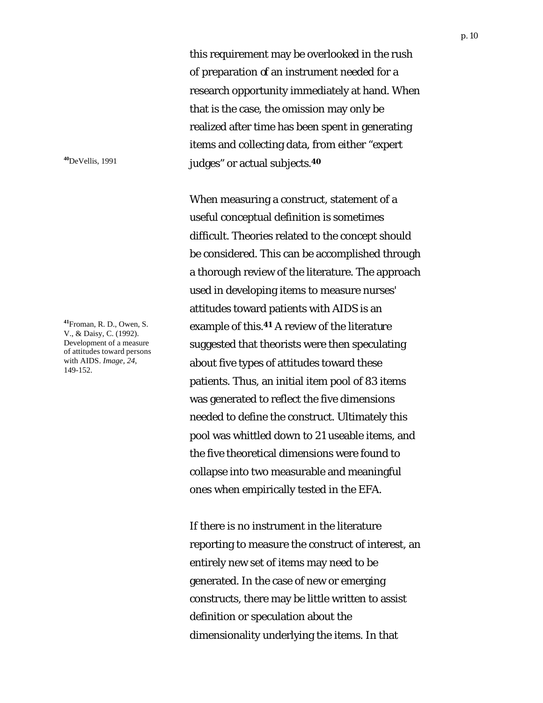this requirement may be overlooked in the rush of preparation of an instrument needed for a research opportunity immediately at hand. When that is the case, the omission may only be realized after time has been spent in generating items and collecting data, from either "expert **<sup>40</sup>**DeVellis, 1991 judges" or actual subjects.**<sup>40</sup>**

> When measuring a construct, statement of a useful conceptual definition is sometimes difficult. Theories related to the concept should be considered. This can be accomplished through a thorough review of the literature. The approach used in developing items to measure nurses' attitudes toward patients with AIDS is an example of this.**41** A review of the literature suggested that theorists were then speculating about five types of attitudes toward these patients. Thus, an initial item pool of 83 items was generated to reflect the five dimensions needed to define the construct. Ultimately this pool was whittled down to 21 useable items, and the five theoretical dimensions were found to collapse into two measurable and meaningful ones when empirically tested in the EFA.

> If there is no instrument in the literature reporting to measure the construct of interest, an entirely new set of items may need to be generated. In the case of new or emerging constructs, there may be little written to assist definition or speculation about the dimensionality underlying the items. In that

**<sup>41</sup>**Froman, R. D., Owen, S. V., & Daisy, C. (1992). Development of a measure of attitudes toward persons with AIDS. *Image, 24*, 149-152.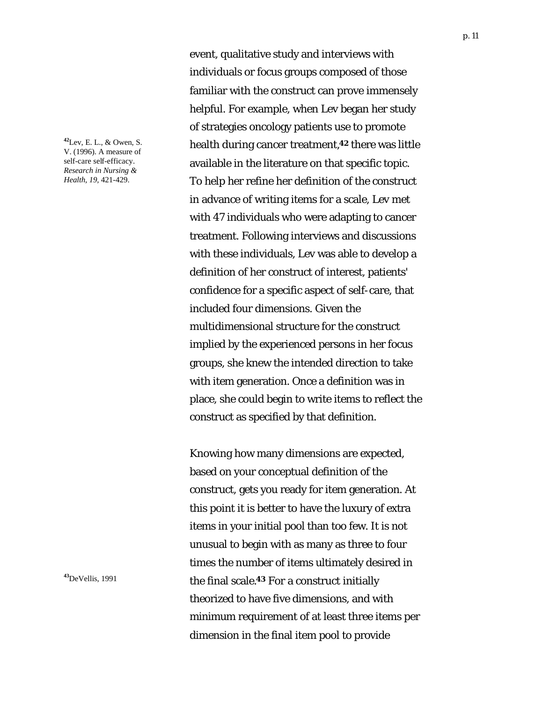**<sup>42</sup>**Lev, E. L., & Owen, S. V. (1996). A measure of self-care self-efficacy. *Research in Nursing & Health, 19,* 421-429.

event, qualitative study and interviews with individuals or focus groups composed of those familiar with the construct can prove immensely helpful. For example, when Lev began her study of strategies oncology patients use to promote health during cancer treatment,**42** there was little available in the literature on that specific topic. To help her refine her definition of the construct in advance of writing items for a scale, Lev met with 47 individuals who were adapting to cancer treatment. Following interviews and discussions with these individuals, Lev was able to develop a definition of her construct of interest, patients' confidence for a specific aspect of self-care, that included four dimensions. Given the multidimensional structure for the construct implied by the experienced persons in her focus groups, she knew the intended direction to take with item generation. Once a definition was in place, she could begin to write items to reflect the construct as specified by that definition.

Knowing how many dimensions are expected, based on your conceptual definition of the construct, gets you ready for item generation. At this point it is better to have the luxury of extra items in your initial pool than too few. It is not unusual to begin with as many as three to four times the number of items ultimately desired in **<sup>43</sup>**DeVellis, 1991 the final scale.**43** For a construct initially theorized to have five dimensions, and with minimum requirement of at least three items per dimension in the final item pool to provide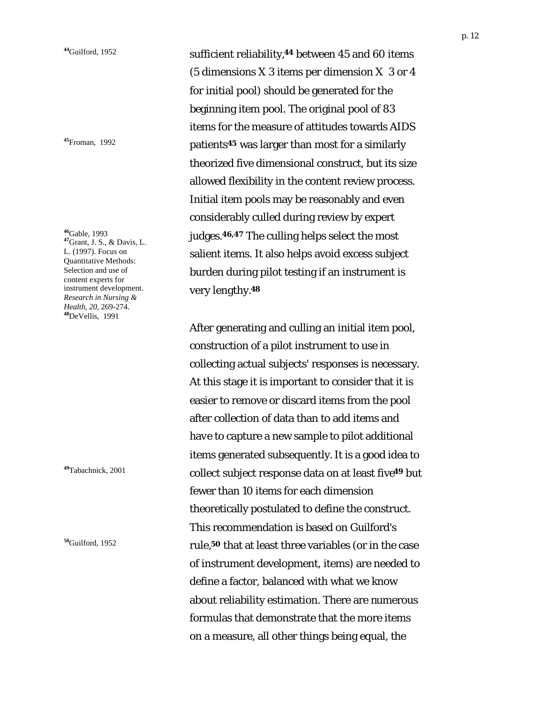**<sup>46</sup>**Gable, 1993 **<sup>47</sup>**Grant, J. S., & Davis, L. L. (1997). Focus on Quantitative Methods: Selection and use of content experts for instrument development. *Research in Nursing & Health, 20,* 269-274. **<sup>48</sup>**DeVellis, 1991

**<sup>44</sup>**Guilford, 1952 sufficient reliability,**44** between 45 and 60 items (5 dimensions X 3 items per dimension X 3 or 4 for initial pool) should be generated for the beginning item pool. The original pool of 83 items for the measure of attitudes towards AIDS **<sup>45</sup>**Froman, 1992 patients**45** was larger than most for a similarly theorized five dimensional construct, but its size allowed flexibility in the content review process. Initial item pools may be reasonably and even considerably culled during review by expert judges.**46,47** The culling helps select the most salient items. It also helps avoid excess subject burden during pilot testing if an instrument is very lengthy.**<sup>48</sup>**

After generating and culling an initial item pool, construction of a pilot instrument to use in collecting actual subjects' responses is necessary. At this stage it is important to consider that it is easier to remove or discard items from the pool after collection of data than to add items and have to capture a new sample to pilot additional items generated subsequently. It is a good idea to **<sup>49</sup>**Tabachnick, 2001 collect subject response data on at least five**49** but fewer than 10 items for each dimension theoretically postulated to define the construct. This recommendation is based on Guilford's **<sup>50</sup>**Guilford, 1952 rule,**50** that at least three variables (or in the case of instrument development, items) are needed to define a factor, balanced with what we know about reliability estimation. There are numerous formulas that demonstrate that the more items on a measure, all other things being equal, the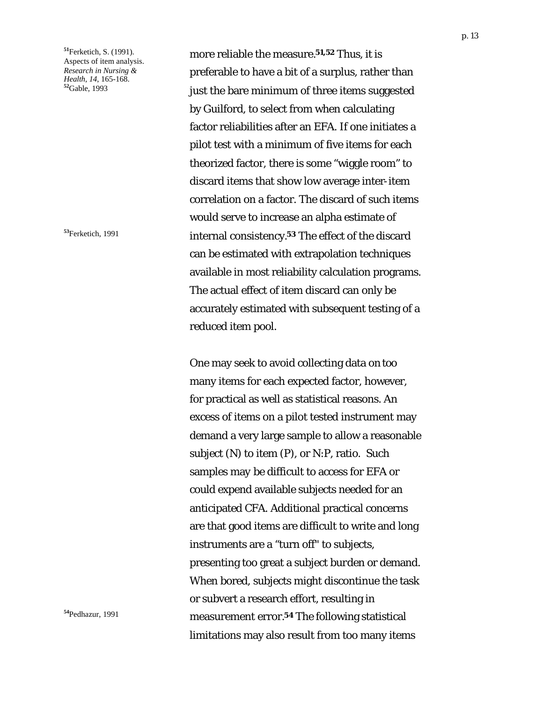**<sup>51</sup>**Ferketich, S. (1991). Aspects of item analysis. *Research in Nursing & Health, 14*, 165-168. **<sup>52</sup>**Gable, 1993

more reliable the measure.**51,52** Thus, it is preferable to have a bit of a surplus, rather than just the bare minimum of three items suggested by Guilford, to select from when calculating factor reliabilities after an EFA. If one initiates a pilot test with a minimum of five items for each theorized factor, there is some "wiggle room" to discard items that show low average inter-item correlation on a factor. The discard of such items would serve to increase an alpha estimate of **<sup>53</sup>**Ferketich, 1991 internal consistency.**53** The effect of the discard can be estimated with extrapolation techniques available in most reliability calculation programs. The actual effect of item discard can only be accurately estimated with subsequent testing of a reduced item pool.

One may seek to avoid collecting data on too many items for each expected factor, however, for practical as well as statistical reasons. An excess of items on a pilot tested instrument may demand a very large sample to allow a reasonable subject (N) to item (P), or N:P, ratio. Such samples may be difficult to access for EFA or could expend available subjects needed for an anticipated CFA. Additional practical concerns are that good items are difficult to write and long instruments are a "turn off" to subjects, presenting too great a subject burden or demand. When bored, subjects might discontinue the task or subvert a research effort, resulting in **<sup>54</sup>**Pedhazur, 1991 measurement error.**54** The following statistical limitations may also result from too many items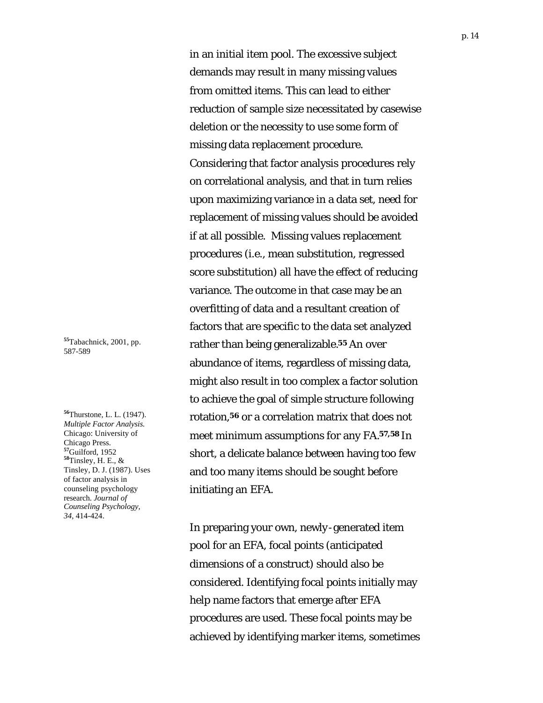in an initial item pool. The excessive subject demands may result in many missing values from omitted items. This can lead to either reduction of sample size necessitated by casewise deletion or the necessity to use some form of missing data replacement procedure. Considering that factor analysis procedures rely on correlational analysis, and that in turn relies upon maximizing variance in a data set, need for replacement of missing values should be avoided if at all possible. Missing values replacement procedures (i.e., mean substitution, regressed score substitution) all have the effect of reducing variance. The outcome in that case may be an overfitting of data and a resultant creation of factors that are specific to the data set analyzed rather than being generalizable.**55** An over abundance of items, regardless of missing data, might also result in too complex a factor solution to achieve the goal of simple structure following rotation,**56** or a correlation matrix that does not meet minimum assumptions for any FA.**57,58** In short, a delicate balance between having too few and too many items should be sought before initiating an EFA.

In preparing your own, newly-generated item pool for an EFA, focal points (anticipated dimensions of a construct) should also be considered. Identifying focal points initially may help name factors that emerge after EFA procedures are used. These focal points may be achieved by identifying marker items, sometimes

**<sup>55</sup>**Tabachnick, 2001, pp. 587-589

**<sup>56</sup>**Thurstone, L. L. (1947). *Multiple Factor Analysis.* Chicago: University of Chicago Press. **<sup>57</sup>**Guilford, 1952 **<sup>58</sup>**Tinsley, H. E., & Tinsley, D. J. (1987). Uses of factor analysis in counseling psychology research. *Journal of Counseling Psychology, 34*, 414-424.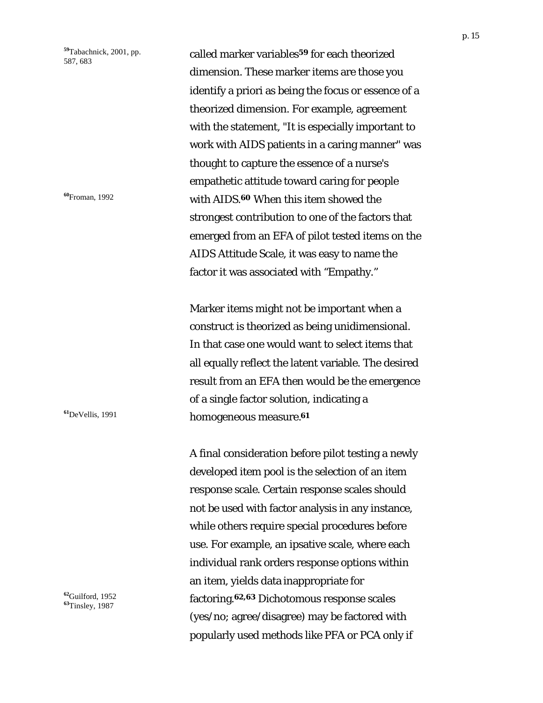**<sup>59</sup>**Tabachnick, 2001, pp. 587, 683

called marker variables**59** for each theorized dimension. These marker items are those you identify a priori as being the focus or essence of a theorized dimension. For example, agreement with the statement, "It is especially important to work with AIDS patients in a caring manner" was thought to capture the essence of a nurse's empathetic attitude toward caring for people **<sup>60</sup>**Froman, 1992 with AIDS.**60** When this item showed the strongest contribution to one of the factors that emerged from an EFA of pilot tested items on the AIDS Attitude Scale, it was easy to name the factor it was associated with "Empathy."

Marker items might not be important when a construct is theorized as being unidimensional. In that case one would want to select items that all equally reflect the latent variable. The desired result from an EFA then would be the emergence of a single factor solution, indicating a **<sup>61</sup>**DeVellis, 1991 homogeneous measure.**<sup>61</sup>**

> A final consideration before pilot testing a newly developed item pool is the selection of an item response scale. Certain response scales should not be used with factor analysis in any instance, while others require special procedures before use. For example, an ipsative scale, where each individual rank orders response options within an item, yields data inappropriate for factoring.**62,63** Dichotomous response scales (yes/no; agree/disagree) may be factored with popularly used methods like PFA or PCA only if

**<sup>62</sup>**Guilford, 1952 **<sup>63</sup>**Tinsley, 1987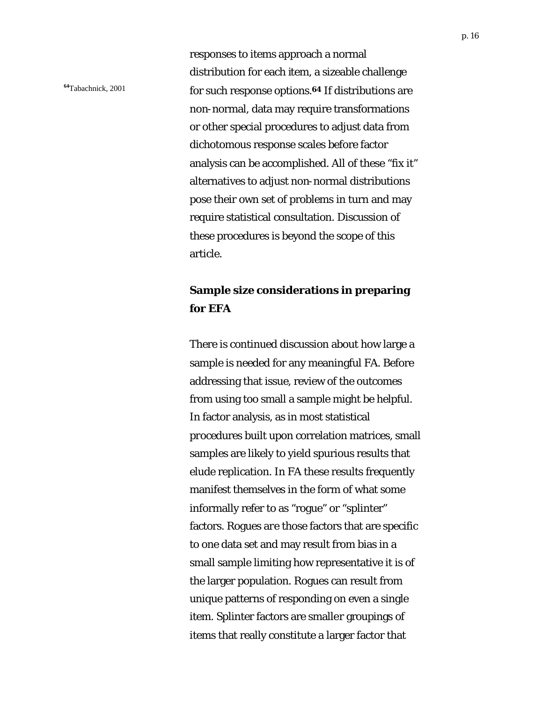responses to items approach a normal distribution for each item, a sizeable challenge **<sup>64</sup>**Tabachnick, 2001 for such response options.**64** If distributions are non-normal, data may require transformations or other special procedures to adjust data from dichotomous response scales before factor analysis can be accomplished. All of these "fix it" alternatives to adjust non-normal distributions pose their own set of problems in turn and may require statistical consultation. Discussion of these procedures is beyond the scope of this article.

### **Sample size considerations in preparing for EFA**

There is continued discussion about how large a sample is needed for any meaningful FA. Before addressing that issue, review of the outcomes from using too small a sample might be helpful. In factor analysis, as in most statistical procedures built upon correlation matrices, small samples are likely to yield spurious results that elude replication. In FA these results frequently manifest themselves in the form of what some informally refer to as "rogue" or "splinter" factors. Rogues are those factors that are specific to one data set and may result from bias in a small sample limiting how representative it is of the larger population. Rogues can result from unique patterns of responding on even a single item. Splinter factors are smaller groupings of items that really constitute a larger factor that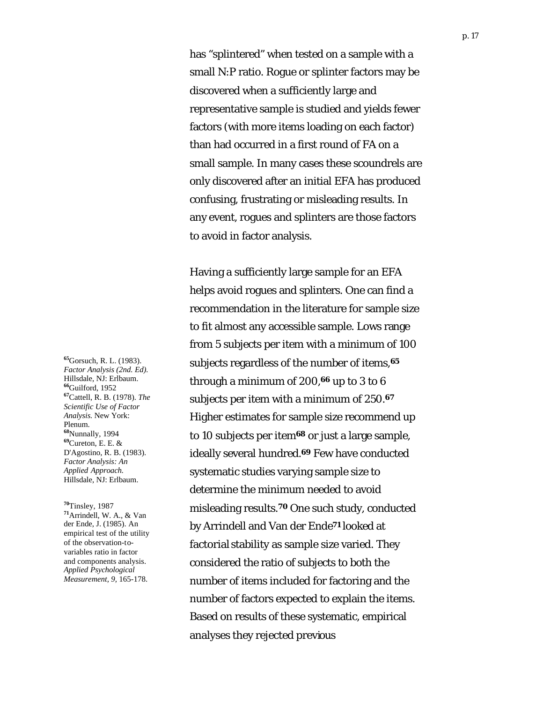has "splintered" when tested on a sample with a small N:P ratio. Rogue or splinter factors may be discovered when a sufficiently large and representative sample is studied and yields fewer factors (with more items loading on each factor) than had occurred in a first round of FA on a small sample. In many cases these scoundrels are only discovered after an initial EFA has produced confusing, frustrating or misleading results. In any event, rogues and splinters are those factors to avoid in factor analysis.

Having a sufficiently large sample for an EFA helps avoid rogues and splinters. One can find a recommendation in the literature for sample size to fit almost any accessible sample. Lows range from 5 subjects per item with a minimum of 100 subjects regardless of the number of items,**<sup>65</sup>** through a minimum of 200,**66** up to 3 to 6 subjects per item with a minimum of 250.**<sup>67</sup>** Higher estimates for sample size recommend up to 10 subjects per item**68** or just a large sample, ideally several hundred.**69** Few have conducted systematic studies varying sample size to determine the minimum needed to avoid misleading results.**70** One such study, conducted by Arrindell and Van der Ende**71** looked at factorial stability as sample size varied. They considered the ratio of subjects to both the number of items included for factoring and the number of factors expected to explain the items. Based on results of these systematic, empirical analyses they rejected previous

**<sup>65</sup>**Gorsuch, R. L. (1983). *Factor Analysis (2nd. Ed).* Hillsdale, NJ: Erlbaum. **<sup>66</sup>**Guilford, 1952 **<sup>67</sup>**Cattell, R. B. (1978). *The Scientific Use of Factor Analysis.* New York: Plenum. **<sup>68</sup>**Nunnally, 1994 **<sup>69</sup>**Cureton, E. E. & D'Agostino, R. B. (1983). *Factor Analysis: An Applied Approach.* Hillsdale, NJ: Erlbaum.

**<sup>70</sup>**Tinsley, 1987 **<sup>71</sup>**Arrindell, W. A., & Van der Ende, J. (1985). An empirical test of the utility of the observation-tovariables ratio in factor and components analysis. *Applied Psychological Measurement, 9,* 165-178.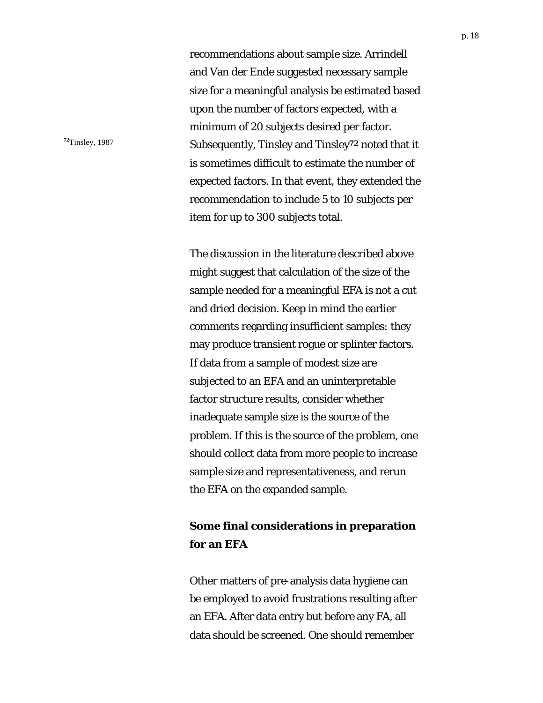recommendations about sample size. Arrindell and Van der Ende suggested necessary sample size for a meaningful analysis be estimated based upon the number of factors expected, with a minimum of 20 subjects desired per factor. <sup>72</sup>Tinsley, 1987 Subsequently, Tinsley and Tinsley<sup>72</sup> noted that it is sometimes difficult to estimate the number of expected factors. In that event, they extended the recommendation to include 5 to 10 subjects per item for up to 300 subjects total.

> The discussion in the literature described above might suggest that calculation of the size of the sample needed for a meaningful EFA is not a cut and dried decision. Keep in mind the earlier comments regarding insufficient samples: they may produce transient rogue or splinter factors. If data from a sample of modest size are subjected to an EFA and an uninterpretable factor structure results, consider whether inadequate sample size is the source of the problem. If this is the source of the problem, one should collect data from more people to increase sample size and representativeness, and rerun the EFA on the expanded sample.

## **Some final considerations in preparation for an EFA**

Other matters of pre-analysis data hygiene can be employed to avoid frustrations resulting after an EFA. After data entry but before any FA, all data should be screened. One should remember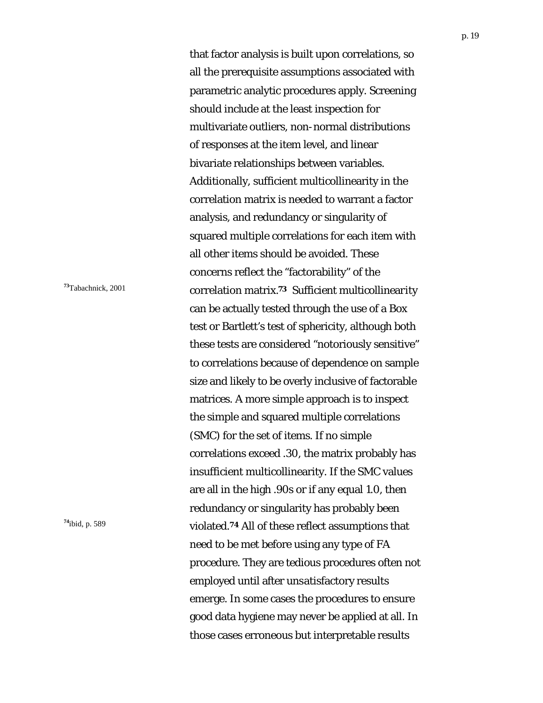that factor analysis is built upon correlations, so all the prerequisite assumptions associated with parametric analytic procedures apply. Screening should include at the least inspection for multivariate outliers, non-normal distributions of responses at the item level, and linear bivariate relationships between variables. Additionally, sufficient multicollinearity in the correlation matrix is needed to warrant a factor analysis, and redundancy or singularity of squared multiple correlations for each item with all other items should be avoided. These concerns reflect the "factorability" of the **<sup>73</sup>**Tabachnick, 2001 correlation matrix.**73** Sufficient multicollinearity can be actually tested through the use of a Box test or Bartlett's test of sphericity, although both these tests are considered "notoriously sensitive" to correlations because of dependence on sample size and likely to be overly inclusive of factorable matrices. A more simple approach is to inspect the simple and squared multiple correlations (SMC) for the set of items. If no simple correlations exceed .30, the matrix probably has insufficient multicollinearity. If the SMC values are all in the high .90s or if any equal 1.0, then redundancy or singularity has probably been **<sup>74</sup>**ibid, p. 589 violated.**74** All of these reflect assumptions that need to be met before using any type of FA procedure. They are tedious procedures often not employed until after unsatisfactory results emerge. In some cases the procedures to ensure good data hygiene may never be applied at all. In those cases erroneous but interpretable results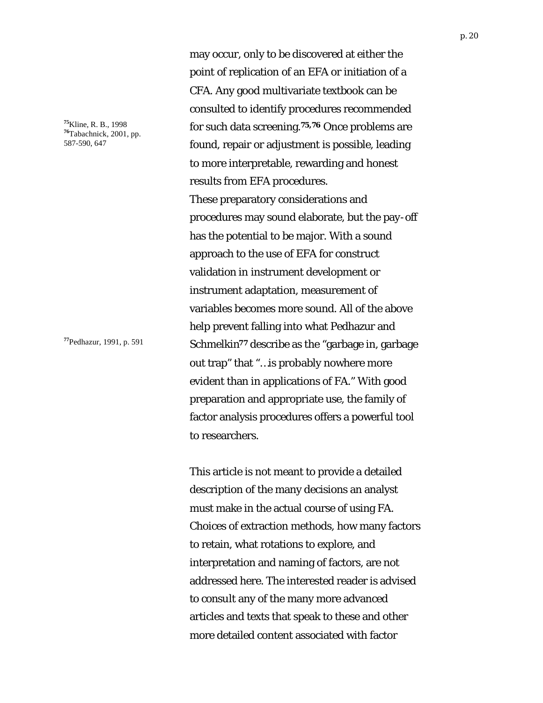**<sup>75</sup>**Kline, R. B., 1998 **<sup>76</sup>**Tabachnick, 2001, pp. 587-590, 647

may occur, only to be discovered at either the point of replication of an EFA or initiation of a CFA. Any good multivariate textbook can be consulted to identify procedures recommended for such data screening.**75,76** Once problems are found, repair or adjustment is possible, leading to more interpretable, rewarding and honest results from EFA procedures. These preparatory considerations and procedures may sound elaborate, but the pay-off has the potential to be major. With a sound approach to the use of EFA for construct validation in instrument development or instrument adaptation, measurement of variables becomes more sound. All of the above help prevent falling into what Pedhazur and **<sup>77</sup>**Pedhazur, 1991, p. 591 Schmelkin**77** describe as the "garbage in, garbage out trap" that "…is probably nowhere more evident than in applications of FA." With good preparation and appropriate use, the family of factor analysis procedures offers a powerful tool to researchers.

> This article is not meant to provide a detailed description of the many decisions an analyst must make in the actual course of using FA. Choices of extraction methods, how many factors to retain, what rotations to explore, and interpretation and naming of factors, are not addressed here. The interested reader is advised to consult any of the many more advanced articles and texts that speak to these and other more detailed content associated with factor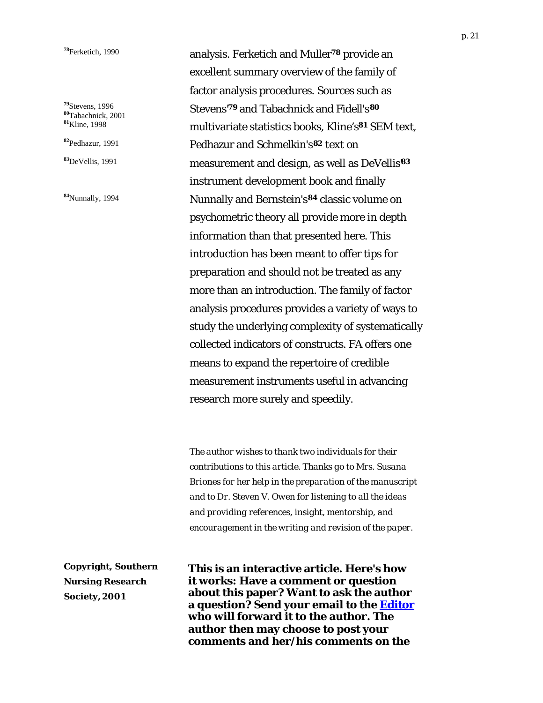**<sup>79</sup>**Stevens, 1996 **<sup>80</sup>**Tabachnick, 2001 **<sup>81</sup>**Kline, 1998

**<sup>82</sup>**Pedhazur, 1991

**<sup>83</sup>**DeVellis, 1991

**<sup>84</sup>**Nunnally, 1994

**<sup>78</sup>**Ferketich, 1990 analysis. Ferketich and Muller**78** provide an excellent summary overview of the family of factor analysis procedures. Sources such as Stevens'**79** and Tabachnick and Fidell's**<sup>80</sup>** multivariate statistics books, Kline's**81** SEM text, Pedhazur and Schmelkin's**82** text on measurement and design, as well as DeVellis'**<sup>83</sup>** instrument development book and finally Nunnally and Bernstein's**84** classic volume on psychometric theory all provide more in depth information than that presented here. This introduction has been meant to offer tips for preparation and should not be treated as any more than an introduction. The family of factor analysis procedures provides a variety of ways to study the underlying complexity of systematically collected indicators of constructs. FA offers one means to expand the repertoire of credible measurement instruments useful in advancing research more surely and speedily.

> *The author wishes to thank two individuals for their contributions to this article. Thanks go to Mrs. Susana Briones for her help in the preparation of the manuscript and to Dr. Steven V. Owen for listening to all the ideas and providing references, insight, mentorship, and encouragement in the writing and revision of the paper.*

**Copyright, Southern Nursing Research Society, 2001**

**This is an interactive article. Here's how it works: Have a comment or question about this paper? Want to ask the author a question? Send your email to the [Editor](mailto:bjholtzclaw@mmcable.com) who will forward it to the author. The author then may choose to post your comments and her/his comments on the**